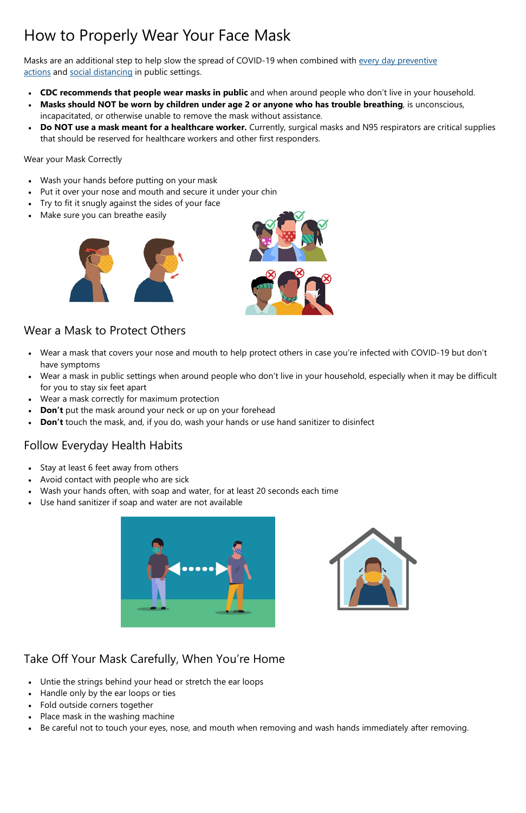# How to Properly Wear Your Face Mask

Masks are an additional step to help slow the spread of COVID-19 when combined with every day preventive [actions](https://www.cdc.gov/coronavirus/2019-ncov/prevent-getting-sick/prevention.html) and [social distancing](https://www.cdc.gov/coronavirus/2019-ncov/prevent-getting-sick/social-distancing.html) in public settings.

- **CDC recommends that people wear masks in public** and when around people who don't live in your household.
- **Masks should NOT be worn by children under age 2 or anyone who has trouble breathing**, is unconscious, incapacitated, or otherwise unable to remove the mask without assistance.
- **Do NOT use a mask meant for a healthcare worker.** Currently, surgical masks and N95 respirators are critical supplies that should be reserved for healthcare workers and other first responders.

- Wear a mask that covers your nose and mouth to help protect others in case you're infected with COVID-19 but don't have symptoms
- Wear a mask in public settings when around people who don't live in your household, especially when it may be difficult for you to stay six feet apart
- Wear a mask correctly for maximum protection
- **Don't** put the mask around your neck or up on your forehead
- **Don't** touch the mask, and, if you do, wash your hands or use hand sanitizer to disinfect

Wear your Mask Correctly

- Wash your hands before putting on your mask
- Put it over your nose and mouth and secure it under your chin
- Try to fit it snugly against the sides of your face
- Make sure you can breathe easily



- Stay at least 6 feet away from others
- Avoid contact with people who are sick
- Wash your hands often, with soap and water, for at least 20 seconds each time
- Use hand sanitizer if soap and water are not available







### Follow Everyday Health Habits

#### Take Off Your Mask Carefully, When You're Home

- Untie the strings behind your head or stretch the ear loops
- Handle only by the ear loops or ties
- Fold outside corners together
- Place mask in the washing machine
- Be careful not to touch your eyes, nose, and mouth when removing and wash hands immediately after removing.